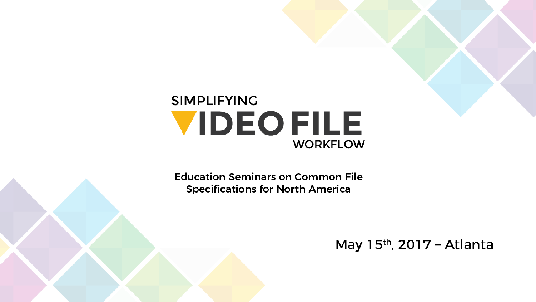### **SIMPLIFYING VIDEOFILE WORKFLOW**

**Education Seminars on Common File Specifications for North America** 

May 15th, 2017 - Atlanta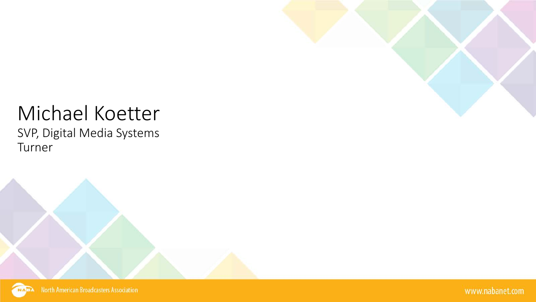

### Michael Koetter SVP, Digital Media Systems Turner

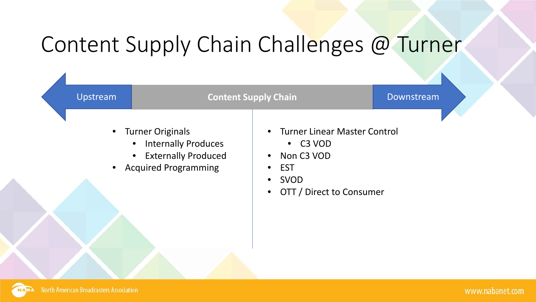# Content Supply Chain Challenges @ Turner

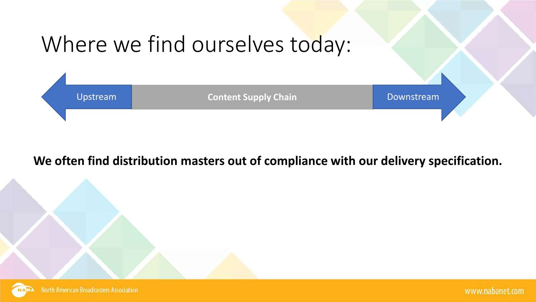

#### **We often find distribution masters out of compliance with our delivery specification.**

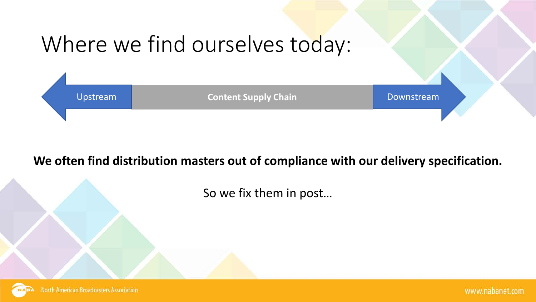

#### **We often find distribution masters out of compliance with our delivery specification.**

So we fix them in post…

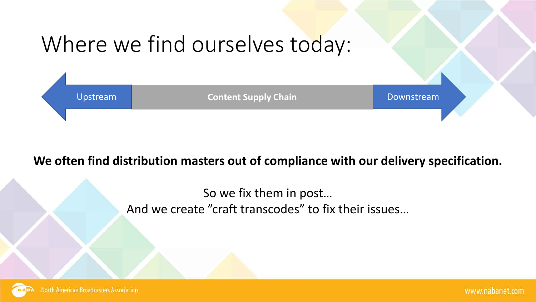

#### **We often find distribution masters out of compliance with our delivery specification.**

So we fix them in post… And we create "craft transcodes" to fix their issues…

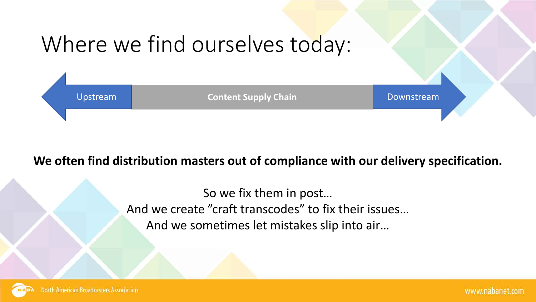

#### **We often find distribution masters out of compliance with our delivery specification.**

So we fix them in post… And we create "craft transcodes" to fix their issues… And we sometimes let mistakes slip into air…

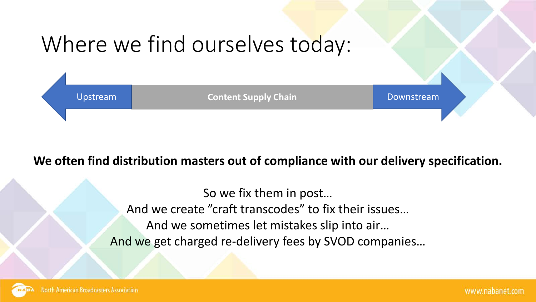

#### **We often find distribution masters out of compliance with our delivery specification.**

So we fix them in post… And we create "craft transcodes" to fix their issues… And we sometimes let mistakes slip into air… And we get charged re-delivery fees by SVOD companies…

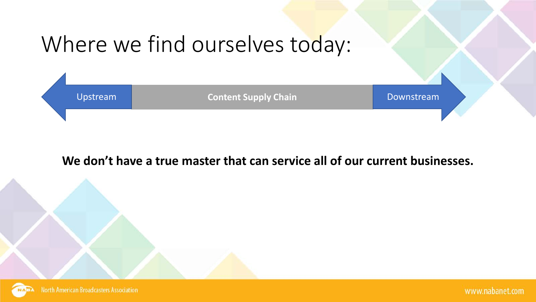

#### **We don't have a true master that can service all of our current businesses.**

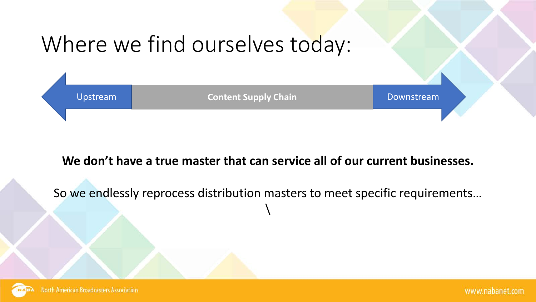

#### **We don't have a true master that can service all of our current businesses.**

So we endlessly reprocess distribution masters to meet specific requirements…  $\setminus$ 

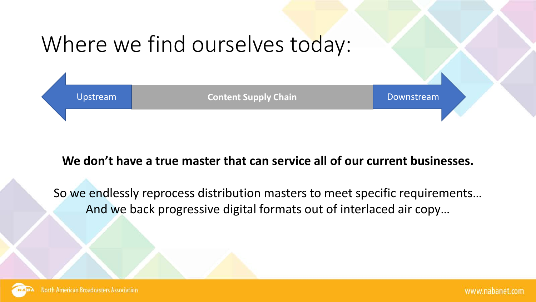

#### **We don't have a true master that can service all of our current businesses.**

So we endlessly reprocess distribution masters to meet specific requirements… And we back progressive digital formats out of interlaced air copy…

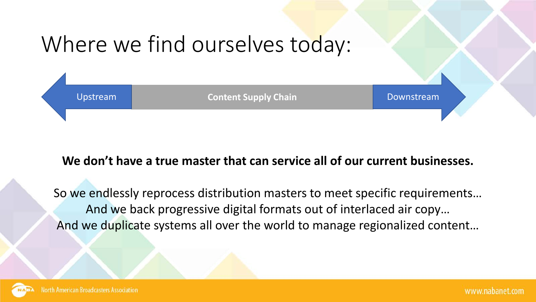

#### **We don't have a true master that can service all of our current businesses.**

So we endlessly reprocess distribution masters to meet specific requirements… And we back progressive digital formats out of interlaced air copy… And we duplicate systems all over the world to manage regionalized content…

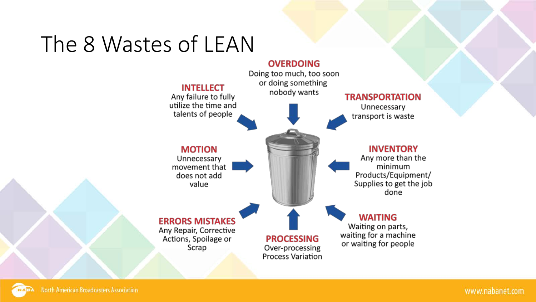# The 8 Wastes of LEAN

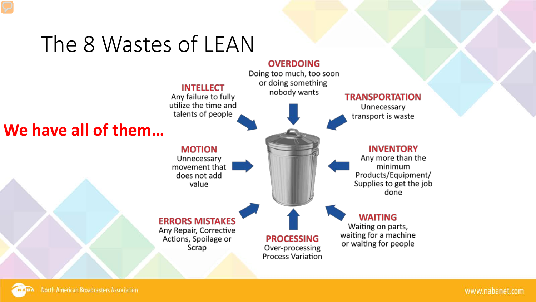## The 8 Wastes of LEAN

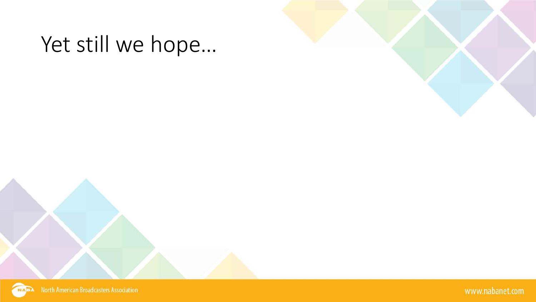

North American Broadcasters Association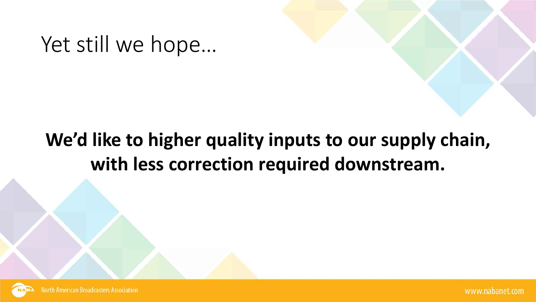## **We'd like to higher quality inputs to our supply chain, with less correction required downstream.**



**North American Broadcasters Association**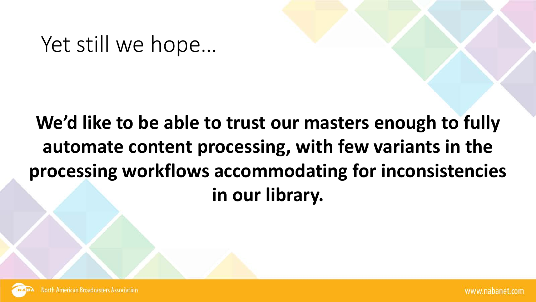## **We'd like to be able to trust our masters enough to fully automate content processing, with few variants in the processing workflows accommodating for inconsistencies in our library.**

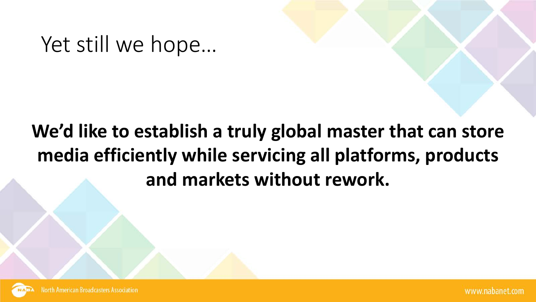## **We'd like to establish a truly global master that can store media efficiently while servicing all platforms, products and markets without rework.**

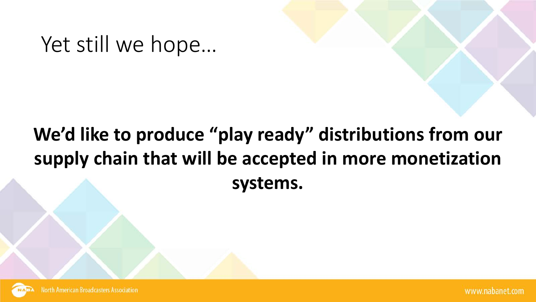## **We'd like to produce "play ready" distributions from our supply chain that will be accepted in more monetization systems.**